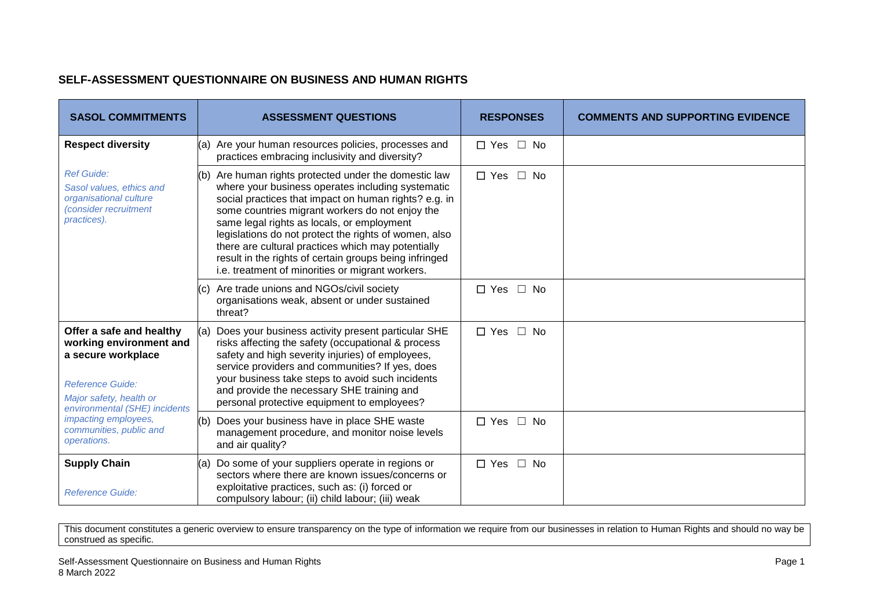## **SELF-ASSESSMENT QUESTIONNAIRE ON BUSINESS AND HUMAN RIGHTS**

| <b>SASOL COMMITMENTS</b>                                                                                                                                                                                                           | <b>ASSESSMENT QUESTIONS</b>                                                                                                                                                                                                                                                                                                                                                                                                                                                                          | <b>RESPONSES</b>           | <b>COMMENTS AND SUPPORTING EVIDENCE</b> |
|------------------------------------------------------------------------------------------------------------------------------------------------------------------------------------------------------------------------------------|------------------------------------------------------------------------------------------------------------------------------------------------------------------------------------------------------------------------------------------------------------------------------------------------------------------------------------------------------------------------------------------------------------------------------------------------------------------------------------------------------|----------------------------|-----------------------------------------|
| <b>Respect diversity</b>                                                                                                                                                                                                           | (a) Are your human resources policies, processes and<br>practices embracing inclusivity and diversity?                                                                                                                                                                                                                                                                                                                                                                                               | $\Box$ Yes $\Box$ No       |                                         |
| <b>Ref Guide:</b><br>Sasol values, ethics and<br>organisational culture<br>(consider recruitment<br>practices).                                                                                                                    | Are human rights protected under the domestic law<br>(b)<br>where your business operates including systematic<br>social practices that impact on human rights? e.g. in<br>some countries migrant workers do not enjoy the<br>same legal rights as locals, or employment<br>legislations do not protect the rights of women, also<br>there are cultural practices which may potentially<br>result in the rights of certain groups being infringed<br>i.e. treatment of minorities or migrant workers. | $\Box$ Yes $\Box$ No       |                                         |
|                                                                                                                                                                                                                                    | Are trade unions and NGOs/civil society<br>organisations weak, absent or under sustained<br>threat?                                                                                                                                                                                                                                                                                                                                                                                                  | $\Box$ Yes<br>$\Box$ No    |                                         |
| Offer a safe and healthy<br>working environment and<br>a secure workplace<br><b>Reference Guide:</b><br>Major safety, health or<br>environmental (SHE) incidents<br>impacting employees,<br>communities, public and<br>operations. | Does your business activity present particular SHE<br>(a)<br>risks affecting the safety (occupational & process<br>safety and high severity injuries) of employees,<br>service providers and communities? If yes, does<br>your business take steps to avoid such incidents<br>and provide the necessary SHE training and<br>personal protective equipment to employees?                                                                                                                              | $\square$ No<br>$\Box$ Yes |                                         |
|                                                                                                                                                                                                                                    | Does your business have in place SHE waste<br>(b)<br>management procedure, and monitor noise levels<br>and air quality?                                                                                                                                                                                                                                                                                                                                                                              | $\Box$ Yes $\Box$ No       |                                         |
| <b>Supply Chain</b><br><b>Reference Guide:</b>                                                                                                                                                                                     | Do some of your suppliers operate in regions or<br>(a)<br>sectors where there are known issues/concerns or<br>exploitative practices, such as: (i) forced or<br>compulsory labour; (ii) child labour; (iii) weak                                                                                                                                                                                                                                                                                     | $\Box$ Yes $\Box$ No       |                                         |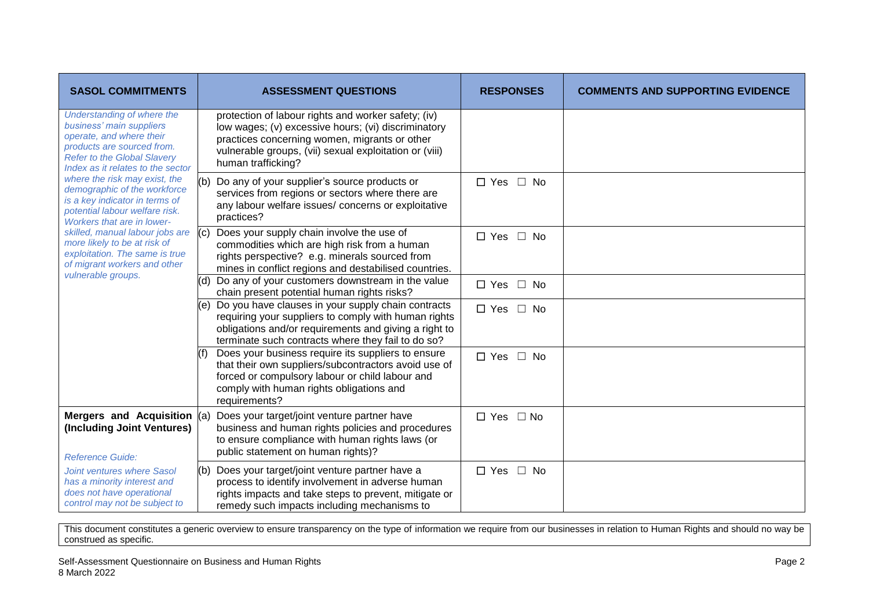| <b>SASOL COMMITMENTS</b>                                                                                                                                                                                                                                                                                                                                                                                                                                                                                                         | <b>ASSESSMENT QUESTIONS</b>                                                                                                                                                                                                                 | <b>RESPONSES</b>           | <b>COMMENTS AND SUPPORTING EVIDENCE</b> |
|----------------------------------------------------------------------------------------------------------------------------------------------------------------------------------------------------------------------------------------------------------------------------------------------------------------------------------------------------------------------------------------------------------------------------------------------------------------------------------------------------------------------------------|---------------------------------------------------------------------------------------------------------------------------------------------------------------------------------------------------------------------------------------------|----------------------------|-----------------------------------------|
| Understanding of where the<br>business' main suppliers<br>operate, and where their<br>products are sourced from.<br><b>Refer to the Global Slavery</b><br>Index as it relates to the sector<br>where the risk may exist, the<br>demographic of the workforce<br>is a key indicator in terms of<br>potential labour welfare risk.<br><b>Workers that are in lower-</b><br>skilled, manual labour jobs are<br>more likely to be at risk of<br>exploitation. The same is true<br>of migrant workers and other<br>vulnerable groups. | protection of labour rights and worker safety; (iv)<br>low wages; (v) excessive hours; (vi) discriminatory<br>practices concerning women, migrants or other<br>vulnerable groups, (vii) sexual exploitation or (viii)<br>human trafficking? |                            |                                         |
|                                                                                                                                                                                                                                                                                                                                                                                                                                                                                                                                  | Do any of your supplier's source products or<br>(b)<br>services from regions or sectors where there are<br>any labour welfare issues/ concerns or exploitative<br>practices?                                                                | $\Box$ Yes<br>$\square$ No |                                         |
|                                                                                                                                                                                                                                                                                                                                                                                                                                                                                                                                  | Does your supply chain involve the use of<br>(c)<br>commodities which are high risk from a human<br>rights perspective? e.g. minerals sourced from<br>mines in conflict regions and destabilised countries.                                 | $\Box$ Yes $\Box$ No       |                                         |
|                                                                                                                                                                                                                                                                                                                                                                                                                                                                                                                                  | Do any of your customers downstream in the value<br>(d)<br>chain present potential human rights risks?                                                                                                                                      | $\Box$ Yes $\Box$ No       |                                         |
|                                                                                                                                                                                                                                                                                                                                                                                                                                                                                                                                  | Do you have clauses in your supply chain contracts<br>(e)<br>requiring your suppliers to comply with human rights<br>obligations and/or requirements and giving a right to<br>terminate such contracts where they fail to do so?            | $\Box$ Yes $\Box$ No       |                                         |
|                                                                                                                                                                                                                                                                                                                                                                                                                                                                                                                                  | Does your business require its suppliers to ensure<br>that their own suppliers/subcontractors avoid use of<br>forced or compulsory labour or child labour and<br>comply with human rights obligations and<br>requirements?                  | $\Box$ Yes $\Box$ No       |                                         |
| Mergers and Acquisition (a)<br>(Including Joint Ventures)<br><b>Reference Guide:</b>                                                                                                                                                                                                                                                                                                                                                                                                                                             | Does your target/joint venture partner have<br>business and human rights policies and procedures<br>to ensure compliance with human rights laws (or<br>public statement on human rights)?                                                   | $\Box$ Yes $\Box$ No       |                                         |
| Joint ventures where Sasol<br>has a minority interest and<br>does not have operational<br>control may not be subject to                                                                                                                                                                                                                                                                                                                                                                                                          | (b) Does your target/joint venture partner have a<br>process to identify involvement in adverse human<br>rights impacts and take steps to prevent, mitigate or<br>remedy such impacts including mechanisms to                               | $\Box$ Yes<br>$\square$ No |                                         |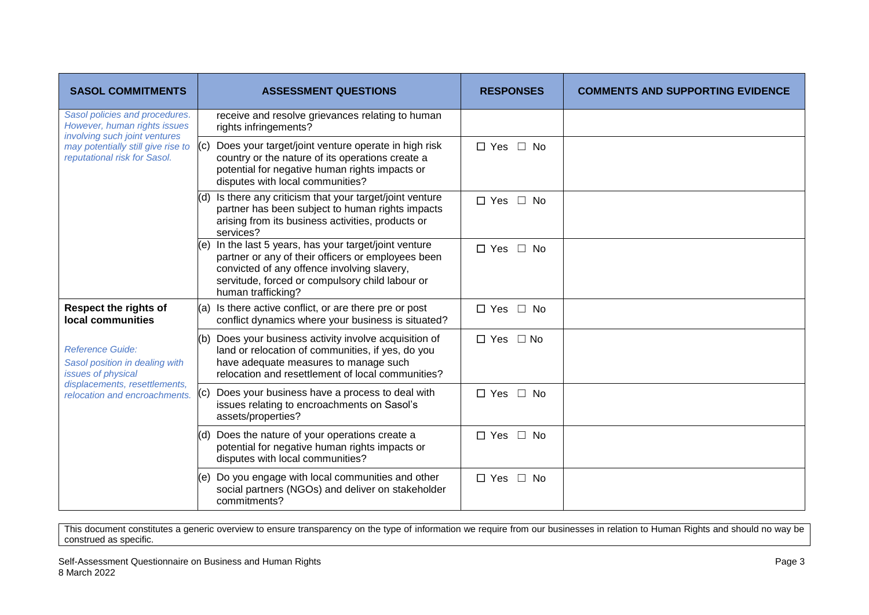| <b>SASOL COMMITMENTS</b>                                                                                                                                              | <b>ASSESSMENT QUESTIONS</b>                                                                                                                                                                                                             | <b>RESPONSES</b>           | <b>COMMENTS AND SUPPORTING EVIDENCE</b> |
|-----------------------------------------------------------------------------------------------------------------------------------------------------------------------|-----------------------------------------------------------------------------------------------------------------------------------------------------------------------------------------------------------------------------------------|----------------------------|-----------------------------------------|
| Sasol policies and procedures.<br>However, human rights issues<br>involving such joint ventures<br>may potentially still give rise to<br>reputational risk for Sasol. | receive and resolve grievances relating to human<br>rights infringements?                                                                                                                                                               |                            |                                         |
|                                                                                                                                                                       | Does your target/joint venture operate in high risk<br>(c)<br>country or the nature of its operations create a<br>potential for negative human rights impacts or<br>disputes with local communities?                                    | $\Box$ Yes $\Box$ No       |                                         |
|                                                                                                                                                                       | Is there any criticism that your target/joint venture<br>(d)<br>partner has been subject to human rights impacts<br>arising from its business activities, products or<br>services?                                                      | $\Box$ Yes $\Box$ No       |                                         |
|                                                                                                                                                                       | In the last 5 years, has your target/joint venture<br>(e)<br>partner or any of their officers or employees been<br>convicted of any offence involving slavery,<br>servitude, forced or compulsory child labour or<br>human trafficking? | $\square$ No<br>$\Box$ Yes |                                         |
| <b>Respect the rights of</b><br>local communities                                                                                                                     | (a) Is there active conflict, or are there pre or post<br>conflict dynamics where your business is situated?                                                                                                                            | $\Box$ Yes $\Box$ No       |                                         |
| <b>Reference Guide:</b><br>Sasol position in dealing with<br>issues of physical<br>displacements, resettlements,<br>relocation and encroachments.                     | Does your business activity involve acquisition of<br>(b)<br>land or relocation of communities, if yes, do you<br>have adequate measures to manage such<br>relocation and resettlement of local communities?                            | $\Box$ Yes<br>$\Box$ No    |                                         |
|                                                                                                                                                                       | Does your business have a process to deal with<br>(C)<br>issues relating to encroachments on Sasol's<br>assets/properties?                                                                                                              | $\Box$ Yes<br>∩ No         |                                         |
|                                                                                                                                                                       | Does the nature of your operations create a<br>(d)<br>potential for negative human rights impacts or<br>disputes with local communities?                                                                                                | $\Box$ Yes<br>$\square$ No |                                         |
|                                                                                                                                                                       | Do you engage with local communities and other<br>(e)<br>social partners (NGOs) and deliver on stakeholder<br>commitments?                                                                                                              | $\Box$ Yes $\Box$ No       |                                         |